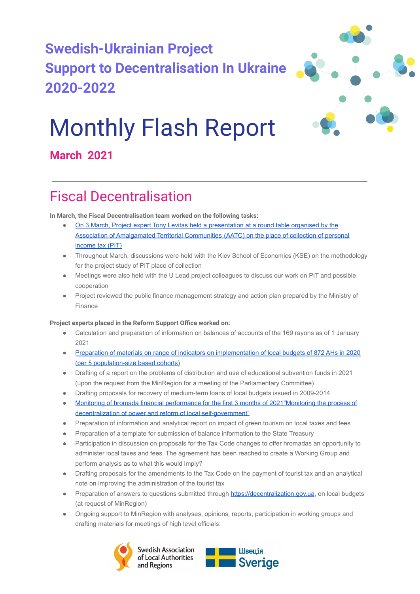



# Monthly Flash Report

### **March 2021**

### Fiscal Decentralisation

**In March, the Fiscal Decentralisation team worked on the following tasks:**

- [On 3 March, Project expert Tony Levitas held a presentation](http://sklinternational.org.ua/wp-content/uploads/2021/04/PIT-and-equalization-presentation-for-association.pdf?fbclid=IwAR0Ah4LkA0PJKG6vn2o3p2BxmP17Pkg3Mixq4iJXF60uBI1DrW-X2H_2VGk) at a round table organised by the [Association of Amalgamated Territorial Communities](http://sklinternational.org.ua/wp-content/uploads/2021/04/PIT-and-equalization-presentation-for-association.pdf?fbclid=IwAR0Ah4LkA0PJKG6vn2o3p2BxmP17Pkg3Mixq4iJXF60uBI1DrW-X2H_2VGk) (AATC) on the place of collection of personal [income tax \(PIT\)](http://sklinternational.org.ua/wp-content/uploads/2021/04/PIT-and-equalization-presentation-for-association.pdf?fbclid=IwAR0Ah4LkA0PJKG6vn2o3p2BxmP17Pkg3Mixq4iJXF60uBI1DrW-X2H_2VGk)
- Throughout March, discussions were held with the Kiev School of Economics (KSE) on the methodology for the project study of PIT place of collection
- Meetings were also held with the U Lead project colleagues to discuss our work on PIT and possible cooperation
- Project reviewed the public finance management strategy and action plan prepared by the Ministry of Finance

#### **Project experts placed in the Reform Support Office worked on:**

- Calculation and preparation of information on balances of accounts of the 169 rayons as of 1 January 2021
- Preparation of materials on range of indicators on [implementation of local budgets of 872 AHs in 2020](https://decentralization.gov.ua/news/13333?page=2) [\(per 5 population-size based cohorts\)](https://decentralization.gov.ua/news/13333?page=2)
- Drafting of a report on the problems of distribution and use of educational subvention funds in 2021 (upon the request from the MinRegion for a meeting of the Parliamentary Committee)
- Drafting proposals for recovery of medium-term loans of local budgets issued in 2009-2014
- [Monitoring of hromada financial performance for the](https://decentralization.gov.ua/news/13433) first 3 months of 2021"Monitoring the process of [decentralization of power and reform of local self-government"](https://decentralization.gov.ua/news/13433)
- Preparation of information and analytical report on impact of green tourism on local taxes and fees
- Preparation of a template for submission of balance information to the State Treasury
- Participation in discussion on proposals for the Tax Code changes to offer hromadas an opportunity to administer local taxes and fees. The agreement has been reached to create a Working Group and perform analysis as to what this would imply?
- Drafting proposals for the amendments to the Tax Code on the payment of tourist tax and an analytical note on improving the administration of the tourist tax
- Preparation of answers to questions submitted through [https://decentralization.gov.ua](https://decentralization.gov.ua/), on local budgets (at request of MinRegion)

Швеція

● Ongoing support to MinRegion with analyses, opinions, reports, participation in working groups and drafting materials for meetings of high level officials:

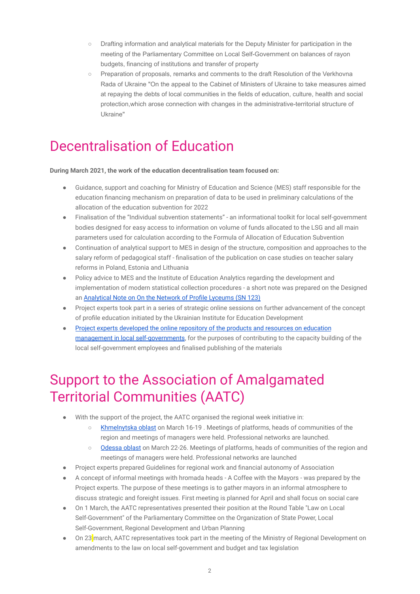- Drafting information and analytical materials for the Deputy Minister for participation in the meeting of the Parliamentary Committee on Local Self-Government on balances of rayon budgets, financing of institutions and transfer of property
- Preparation of proposals, remarks and comments to the draft Resolution of the Verkhovna Rada of Ukraine "On the appeal to the Cabinet of Ministers of Ukraine to take measures aimed at repaying the debts of local communities in the fields of education, culture, health and social protection,which arose connection with changes in the administrative-territorial structure of Ukraine"

### Decentralisation of Education

#### **During March 2021, the work of the education decentralisation team focused on:**

- Guidance, support and coaching for Ministry of Education and Science (MES) staff responsible for the education financing mechanism on preparation of data to be used in preliminary calculations of the allocation of the education subvention for 2022
- Finalisation of the "Individual subvention statements" an informational toolkit for local self-government bodies designed for easy access to information on volume of funds allocated to the LSG and all main parameters used for calculation according to the Formula of Allocation of Education Subvention
- Continuation of analytical support to MES in design of the structure, composition and approaches to the salary reform of pedagogical staff - finalisation of the publication on case studies on teacher salary reforms in Poland, Estonia and Lithuania
- Policy advice to MES and the Institute of Education Analytics regarding the development and implementation of modern statistical collection procedures - a short note was prepared on the Designed an [Analytical Note on On the Network of Profile Lyceums](http://sklinternational.org.ua/wp-content/uploads/2021/04/SN-123-network-lyceums-06.pdf) (SN 123)
- Project experts took part in a series of strategic online sessions on further advancement of the concept of profile education initiated by the Ukrainian Institute for Education Development
- [Project experts developed the online repository of](http://sklinternational.org.ua/ua/%d0%b3%d1%80%d0%b0-%d0%be%d0%bf%d1%82%d0%b8%d0%bc%d1%96%d0%b7%d0%b0%d1%86%d1%96%d1%8f-%d1%88%d0%ba%d1%96%d0%bb%d1%8c%d0%bd%d0%be%d1%97-%d0%bc%d0%b5%d1%80%d0%b5%d0%b6%d1%96-%d1%83-%d0%b3%d1%80%d0%be/) the products and resources on education [management in local self-governments](http://sklinternational.org.ua/ua/%d0%b3%d1%80%d0%b0-%d0%be%d0%bf%d1%82%d0%b8%d0%bc%d1%96%d0%b7%d0%b0%d1%86%d1%96%d1%8f-%d1%88%d0%ba%d1%96%d0%bb%d1%8c%d0%bd%d0%be%d1%97-%d0%bc%d0%b5%d1%80%d0%b5%d0%b6%d1%96-%d1%83-%d0%b3%d1%80%d0%be/), for the purposes of contributing to the capacity building of the local self-government employees and finalised publishing of the materials

### Support to the Association of Amalgamated Territorial Communities (AATC)

- With the support of the project, the AATC organised the regional week initiative in:
	- [Khmelnytska oblast](https://www.hromady.org/%d1%80%d0%b5%d0%b3%d1%96%d0%be%d0%bd%d0%b0%d0%bb%d1%8c%d0%bd%d0%b8%d0%b9-%d1%82%d0%b8%d0%b6%d0%b4%d0%b5%d0%bd%d1%8c-%d0%b3%d1%80%d0%be%d0%bc%d0%b0%d0%b4-%d1%85%d0%bc%d0%b5%d0%bb%d1%8c%d0%bd%d0%b8/) on March 16-19 . Meetings of platforms, heads of communities of the region and meetings of managers were held. Professional networks are launched.
	- [Odessa oblast](https://www.hromady.org/22-26-%d0%b1%d0%b5%d1%80%d0%b5%d0%b7%d0%bd%d1%8f-%d0%be%d0%b4%d0%b5%d1%89%d0%b8%d0%bd%d1%96-%d0%bf%d1%80%d0%b8%d1%81%d0%b2%d1%8f%d1%87%d1%83%d1%94-%d1%80%d0%b5%d0%b3%d1%96%d0%be%d0%bd%d0%b0%d0%bb/) on March 22-26. Meetings of platforms, heads of communities of the region and meetings of managers were held. Professional networks are launched
- Project experts prepared Guidelines for regional work and financial autonomy of Association
- A concept of informal meetings with hromada heads A Coffee with the Mayors was prepared by the Project experts. The purpose of these meetings is to gather mayors in an informal atmosphere to discuss strategic and foreight issues. First meeting is planned for April and shall focus on social care
- On 1 March, the AATC representatives presented their position at the Round Table "Law on Local Self-Government" of the Parliamentary Committee on the Organization of State Power, Local Self-Government, Regional Development and Urban Planning
- On 23 march, AATC representatives took part in the meeting of the Ministry of Regional Development on amendments to the law on local self-government and budget and tax legislation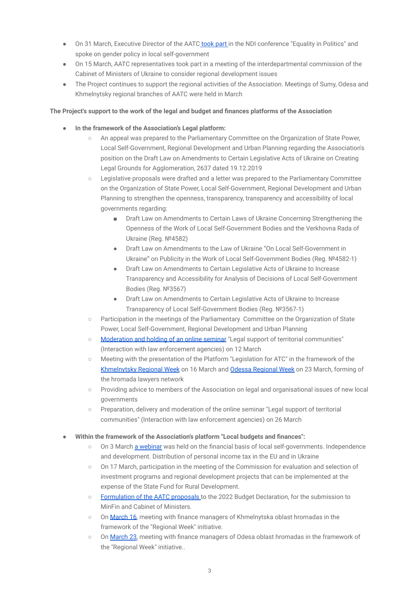- On 31 March, Executive Director of the AATC [took part](https://www.hromady.org/%d0%b2%d0%b0%d0%be%d1%82%d0%b3-%d1%94-%d1%83%d0%bd%d1%96%d0%ba%d0%b0%d0%bb%d1%8c%d0%bd%d0%b8%d0%bc-%d0%bc%d0%b0%d0%b9%d0%b4%d0%b0%d0%bd%d1%87%d0%b8%d0%ba%d0%be%d0%bc-%d0%b4%d0%bb%d1%8f-%d0%bf%d1%80/) in the NDI conference "Equality in Politics" and spoke on gender policy in local self-government
- On 15 March, AATC representatives took part in a meeting of the interdepartmental commission of the Cabinet of Ministers of Ukraine to consider regional development issues
- The Project continues to support the regional activities of the Association. Meetings of Sumy, Odesa and Khmelnytsky regional branches of AATC were held in March

#### **The Project's support to the work of the legal and budget and finances platforms of the Association**

- **In the framework of the Association's Legal platform:**
	- An appeal was prepared to the Parliamentary Committee on the Organization of State Power, Local Self-Government, Regional Development and Urban Planning regarding the Association's position on the Draft Law on Amendments to Certain Legislative Acts of Ukraine on Creating Legal Grounds for Agglomeration, 2637 dated 19.12.2019
	- Legislative proposals were drafted and a letter was prepared to the Parliamentary Committee on the Organization of State Power, Local Self-Government, Regional Development and Urban Planning to strengthen the openness, transparency, transparency and accessibility of local governments regarding:
		- Draft Law on Amendments to Certain Laws of Ukraine Concerning Strengthening the Openness of the Work of Local Self-Government Bodies and the Verkhovna Rada of Ukraine (Reg. №4582)
		- Draft Law on Amendments to the Law of Ukraine "On Local Self-Government in Ukraine" on Publicity in the Work of Local Self-Government Bodies (Reg. №4582-1)
		- **Draft Law on Amendments to Certain Legislative Acts of Ukraine to Increase** Transparency and Accessibility for Analysis of Decisions of Local Self-Government Bodies (Reg. №3567)
		- Draft Law on Amendments to Certain Legislative Acts of Ukraine to Increase Transparency of Local Self-Government Bodies (Reg. №3567-1)
	- Participation in the meetings of the Parliamentary Committee on the Organization of State Power, Local Self-Government, Regional Development and Urban Planning
	- [Moderation and holding of an online seminar](https://www.hromady.org/%d0%b2%d0%b0%d0%be%d1%82%d0%b3-%d0%bf%d1%80%d0%be%d0%b4%d0%be%d0%b2%d0%b6%d1%83%d1%94-%d1%81%d0%b5%d1%80%d1%96%d1%8e-%d0%b2%d0%b5%d0%b1%d1%96%d0%bd%d0%b0%d1%80%d1%96%d0%b2-%d1%8e%d1%80%d0%b8/) "Legal support of territorial communities" (Interaction with law enforcement agencies) on 12 March
	- Meeting with the presentation of the Platform "Legislation for ATC" in the framework of the [Khmelnytsky Regional Week](https://www.hromady.org/%d0%b2%d1%81%d0%b5%d1%83%d0%ba%d1%80%d0%b0%d1%97%d0%bd%d1%81%d1%8c%d0%ba%d0%b0-%d0%b0%d1%81%d0%be%d1%86%d1%96%d0%b0%d1%86%d1%96%d1%8f-%d0%be%d1%82%d0%b3-%d1%81%d0%bf%d1%96%d0%bb%d1%8c%d0%bd%d0%be-3/) on 16 March and [Odessa Regional](https://www.hromady.org/%d1%8e%d1%80%d0%b8%d1%81%d1%82%d0%b8-%d0%be%d0%b4%d0%b5%d1%89%d0%b8%d0%bd%d0%b8-%d0%bd%d0%b0%d0%bb%d0%b0%d0%b3%d0%be%d0%b4%d0%b6%d1%83%d1%8e%d1%82%d1%8c-%d0%b4%d1%96%d0%b0%d0%bb%d0%be%d0%b3-%d0%bd/) Week on 23 March, forming of the hromada lawyers network
	- Providing advice to members of the Association on legal and organisational issues of new local governments
	- Preparation, delivery and moderation of the online seminar "Legal support of territorial communities" (Interaction with law enforcement agencies) on 26 March
- Within the framework of the Association's platform "Local budgets and finances":
	- On 3 March [a webinar](https://www.hromady.org/%d0%b0%d0%ba%d1%82%d1%83%d0%b0%d0%bb%d1%8c%d0%bd%d1%96-%d0%bf%d0%b8%d1%82%d0%b0%d0%bd%d0%bd%d1%8f-%d0%bf%d0%be%d0%b4%d0%b0%d1%82%d0%ba%d1%83-%d0%bd%d0%b0-%d0%b4%d0%be%d1%85%d0%be%d0%b4%d0%b8-%d1%84/) was held on the financial basis of local self-governments. Independence and development. Distribution of personal income tax in the EU and in Ukraine
	- On 17 March, participation in the meeting of the Commission for evaluation and selection of investment programs and regional development projects that can be implemented at the expense of the State Fund for Rural Development.
	- [Formulation of the AATC proposals](https://www.hromady.org/%d0%b1%d1%8e%d0%b4%d0%b6%d0%b5%d1%82%d0%bd%d0%b0-%d0%b4%d0%b5%d0%ba%d0%bb%d0%b0%d1%80%d0%b0%d1%86%d1%96%d1%8f-2022-%d0%b2%d0%b0%d0%be%d1%82%d0%b3-%d0%bd%d0%b0%d0%b4%d0%b0%d0%bb%d0%b0-%d0%bc%d1%96/) to the 2022 Budget Declaration, for the submission to MinFin and Cabinet of Ministers.
	- On [March 16,](https://www.hromady.org/%d0%bf%d1%80%d0%be%d1%84%d0%b5%d1%81%d1%96%d0%b9%d0%bd%d0%b8%d0%b9-%d0%b4%d1%96%d0%b0%d0%bb%d0%be%d0%b3-%d0%b7%d1%83%d1%81%d1%82%d1%80%d1%96%d1%87-%d0%b7-%d1%84%d1%96%d0%bd%d0%b0%d0%bd%d1%81/) meeting with finance managers of Khmelnytska oblast hromadas in the framework of the "Regional Week" initiative.
	- On [March 23,](https://www.hromady.org/%d0%bf%d1%80%d0%be%d1%84%d0%b5%d1%81%d1%96%d0%b9%d0%bd%d0%b8%d0%b9-%d0%b4%d1%96%d0%b0%d0%bb%d0%be%d0%b3-%d0%b7%d1%83%d1%81%d1%82%d1%80%d1%96%d1%87-%d0%b7-%d1%84%d1%96%d0%bd%d0%b0%d0%bd%d1%81-2/) meeting with finance managers of Odesa oblast hromadas in the framework of the "Regional Week" initiative..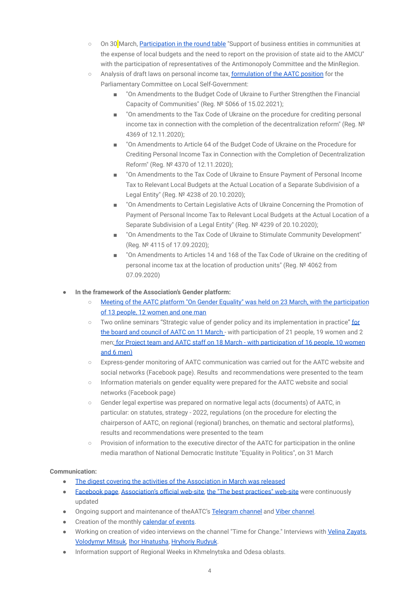- On 30 March, [Participation in the round table](https://www.hromady.org/%d0%bf%d1%80%d0%b5%d0%b4%d1%81%d1%82%d0%b0%d0%b2%d0%bd%d0%b8%d0%ba%d0%b8-%d0%b2%d0%b0%d0%be%d1%82%d0%b3-%d0%b0%d0%bd%d1%82%d0%b8%d0%bc%d0%be%d0%bd%d0%be%d0%bf%d0%be%d0%bb%d1%8c%d0%bd%d0%be%d0%b3/) "Support of business entities in communities at the expense of local budgets and the need to report on the provision of state aid to the AMCU" with the participation of representatives of the Antimonopoly Committee and the MinRegion.
- Analysis of draft laws on personal income tax, formulation [of the AATC position](https://www.hromady.org/%d0%bf%d0%b4%d1%84%d0%be-%d0%bf%d0%be%d0%b7%d0%b8%d1%86%d1%96%d1%8f-%d0%b2%d1%81%d0%b5%d1%83%d0%ba%d1%80%d0%b0%d1%97%d0%bd%d1%81%d1%8c%d0%ba%d0%be%d1%97-%d0%b0%d1%81%d0%be%d1%86%d1%96%d0%b0%d1%86/) for the Parliamentary Committee on Local Self-Government:
	- "On Amendments to the Budget Code of Ukraine to Further Strengthen the Financial Capacity of Communities" (Reg. № 5066 of 15.02.2021);
	- "On amendments to the Tax Code of Ukraine on the procedure for crediting personal income tax in connection with the completion of the decentralization reform" (Reg.  $\mathbb{N}^{\mathcal{Q}}$ 4369 of 12.11.2020);
	- "On Amendments to Article 64 of the Budget Code of Ukraine on the Procedure for Crediting Personal Income Tax in Connection with the Completion of Decentralization Reform" (Reg. № 4370 of 12.11.2020);
	- "On Amendments to the Tax Code of Ukraine to Ensure Payment of Personal Income Tax to Relevant Local Budgets at the Actual Location of a Separate Subdivision of a Legal Entity" (Reg. № 4238 of 20.10.2020);
	- "On Amendments to Certain Legislative Acts of Ukraine Concerning the Promotion of Payment of Personal Income Tax to Relevant Local Budgets at the Actual Location of a Separate Subdivision of a Legal Entity" (Reg. № 4239 of 20.10.2020);
	- "On Amendments to the Tax Code of Ukraine to Stimulate Community Development" (Reg. № 4115 of 17.09.2020);
	- "On Amendments to Articles 14 and 168 of the Tax Code of Ukraine on the crediting of personal income tax at the location of production units" (Reg. № 4062 from 07.09.2020)
- **In the framework of the Association's Gender platform:** 
	- [Meeting of the AATC platform "On Gender Equality"](https://www.hromady.org/%d0%b0%d0%bd%d0%be%d0%bd%d1%81-23-%d0%b1%d0%b5%d1%80%d0%b5%d0%b7%d0%bd%d1%8f-%d0%b7%d0%b0%d1%81%d1%96%d0%b4%d0%b0%d0%bd%d0%bd%d1%8f-%d0%bf%d0%bb%d0%b0%d1%82%d1%84%d0%be%d1%80%d0%bc%d0%b8-%d0%b7/) was held on 23 March, with the participation [of 13 people, 12 women and one man](https://www.hromady.org/%d0%b0%d0%bd%d0%be%d0%bd%d1%81-23-%d0%b1%d0%b5%d1%80%d0%b5%d0%b7%d0%bd%d1%8f-%d0%b7%d0%b0%d1%81%d1%96%d0%b4%d0%b0%d0%bd%d0%bd%d1%8f-%d0%bf%d0%bb%d0%b0%d1%82%d1%84%d0%be%d1%80%d0%bc%d0%b8-%d0%b7/)
	- Two online seminars "Strategic value of gender policy and its implementation in practice" [for](https://www.hromady.org/%d0%b0%d1%81%d0%be%d1%86%d1%96%d0%b0%d1%86%d1%96%d1%8f-%d1%80%d0%be%d0%b7%d0%bf%d0%be%d1%87%d0%b8%d0%bd%d0%b0%d1%94-%d0%b0%d0%ba%d1%82%d0%b8%d0%b2%d0%bd%d1%83-%d0%b4%d1%96%d1%8f%d0%bb%d1%8c%d0%bd/?fbclid=IwAR3duFdO2bV5nvH_zujyWPSCyCQMdvLWnteQmSKM1wuby9UHGwAv6w6cHOs) [the board and council of AATC on 11 March](https://www.hromady.org/%d0%b0%d1%81%d0%be%d1%86%d1%96%d0%b0%d1%86%d1%96%d1%8f-%d1%80%d0%be%d0%b7%d0%bf%d0%be%d1%87%d0%b8%d0%bd%d0%b0%d1%94-%d0%b0%d0%ba%d1%82%d0%b8%d0%b2%d0%bd%d1%83-%d0%b4%d1%96%d1%8f%d0%bb%d1%8c%d0%bd/?fbclid=IwAR3duFdO2bV5nvH_zujyWPSCyCQMdvLWnteQmSKM1wuby9UHGwAv6w6cHOs) - with participation of 21 people, 19 women and 2 men; [for Project team and AATC staff on 18 March -](https://www.hromady.org/%d1%8f%d0%ba-%d1%80%d0%be%d0%b7%d0%b2%d0%b8%d0%b2%d0%b0%d1%94%d1%82%d1%8c%d1%81%d1%8f-%d0%b3%d0%b5%d0%bd%d0%b4%d0%b5%d1%80%d0%bd%d0%b0-%d0%bf%d0%be%d0%bb%d1%96%d1%82%d0%b8%d0%ba%d0%b0-%d0%b2-%d0%b3/) with participation of 16 people, 10 women [and 6 men\)](https://www.hromady.org/%d1%8f%d0%ba-%d1%80%d0%be%d0%b7%d0%b2%d0%b8%d0%b2%d0%b0%d1%94%d1%82%d1%8c%d1%81%d1%8f-%d0%b3%d0%b5%d0%bd%d0%b4%d0%b5%d1%80%d0%bd%d0%b0-%d0%bf%d0%be%d0%bb%d1%96%d1%82%d0%b8%d0%ba%d0%b0-%d0%b2-%d0%b3/)
	- Express-gender monitoring of AATC communication was carried out for the AATC website and social networks (Facebook page). Results and recommendations were presented to the team
	- Information materials on gender equality were prepared for the AATC website and social networks (Facebook page)
	- Gender legal expertise was prepared on normative legal acts (documents) of AATC, in particular: on statutes, strategy - 2022, regulations (on the procedure for electing the chairperson of AATC, on regional (regional) branches, on thematic and sectoral platforms), results and recommendations were presented to the team
	- Provision of information to the executive director of the AATC for participation in the online media marathon of National Democratic Institute "Equality in Politics", on 31 March

#### **Communication:**

- [The digest covering the activities of the Association](https://www.hromady.org/%d0%b4%d0%b0%d0%b9%d0%b4%d0%b6%d0%b5%d1%81%d1%82-%d0%b2%d1%81%d0%b5%d1%83%d0%ba%d1%80%d0%b0%d1%97%d0%bd%d1%81%d1%8c%d0%ba%d0%be%d1%97-%d0%b0%d1%81%d0%be%d1%86%d1%96%d0%b0%d1%86%d1%96%d1%97-%d0%be/) in March was released
- [Facebook page,](https://www.facebook.com/LSGA.ATC/) [Association's official web-site,](https://www.hromady.org/) the ["The best practices" web-site](https://wiki.hromady.org/) were continuously updated
- Ongoing support and maintenance of theAATC's [Telegram](https://t.me/aotgnews) channel and [Viber channel.](https://invite.viber.com/?g2=AQBuFKL477%205okzpgZEG4t8s4ki4%2Ff8kSKjmUgPRunw8Fyx3uxIlHYJWyHQhTIHW&lang=ru)
- Creation of the monthly [calendar of events](https://www.facebook.com/LSGA.ATC/posts/1606617022872378).
- Working on creation of video interviews on the channel "Time for Change." Interviews with [Velina Zayats](https://www.youtube.com/watch?v=Rm-kieLdPy0&ab_channel=%D0%A7%D0%90%D0%A1%D0%97%D0%9C%D0%86%D0%9D), [Volodymyr Mitsuk,](https://www.youtube.com/watch?v=DawrBhoSkQM&ab_channel=%D0%A7%D0%90%D0%A1%D0%97%D0%9C%D0%86%D0%9D) [Ihor Hnatusha](https://www.youtube.com/watch?v=9icaWxWRMLk&ab_channel=%D0%A7%D0%90%D0%A1%D0%97%D0%9C%D0%86%D0%9D), [Hryhoriy Rudyuk](https://www.youtube.com/watch?v=EpEsniI1xlE&ab_channel=%D0%A7%D0%90%D0%A1%D0%97%D0%9C%D0%86%D0%9D).
- Information support of Regional Weeks in Khmelnytska and Odesa oblasts.